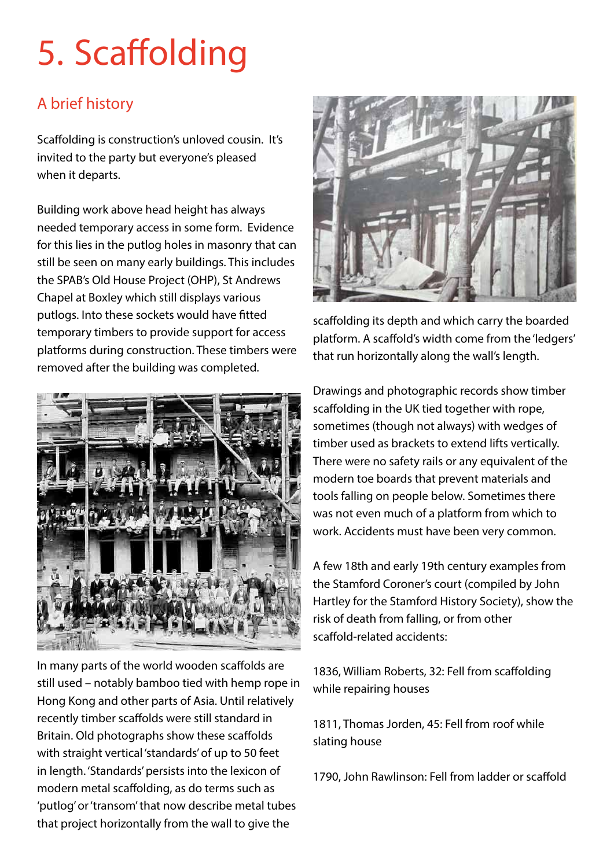# 5. Scaffolding

## A brief history

Scaffolding is construction's unloved cousin. It's invited to the party but everyone's pleased when it departs.

Building work above head height has always needed temporary access in some form. Evidence for this lies in the putlog holes in masonry that can still be seen on many early buildings. This includes the SPAB's Old House Project (OHP), St Andrews Chapel at Boxley which still displays various putlogs. Into these sockets would have fitted temporary timbers to provide support for access platforms during construction. These timbers were removed after the building was completed.



In many parts of the world wooden scaffolds are still used – notably bamboo tied with hemp rope in Hong Kong and other parts of Asia. Until relatively recently timber scaffolds were still standard in Britain. Old photographs show these scaffolds with straight vertical 'standards' of up to 50 feet in length. 'Standards' persists into the lexicon of modern metal scaffolding, as do terms such as 'putlog' or 'transom' that now describe metal tubes that project horizontally from the wall to give the



scaffolding its depth and which carry the boarded platform. A scaffold's width come from the 'ledgers' that run horizontally along the wall's length.

Drawings and photographic records show timber scaffolding in the UK tied together with rope, sometimes (though not always) with wedges of timber used as brackets to extend lifts vertically. There were no safety rails or any equivalent of the modern toe boards that prevent materials and tools falling on people below. Sometimes there was not even much of a platform from which to work. Accidents must have been very common.

A few 18th and early 19th century examples from the Stamford Coroner's court (compiled by John Hartley for the Stamford History Society), show the risk of death from falling, or from other scaffold-related accidents:

1836, William Roberts, 32: Fell from scaffolding while repairing houses

1811, Thomas Jorden, 45: Fell from roof while slating house

1790, John Rawlinson: Fell from ladder or scaffold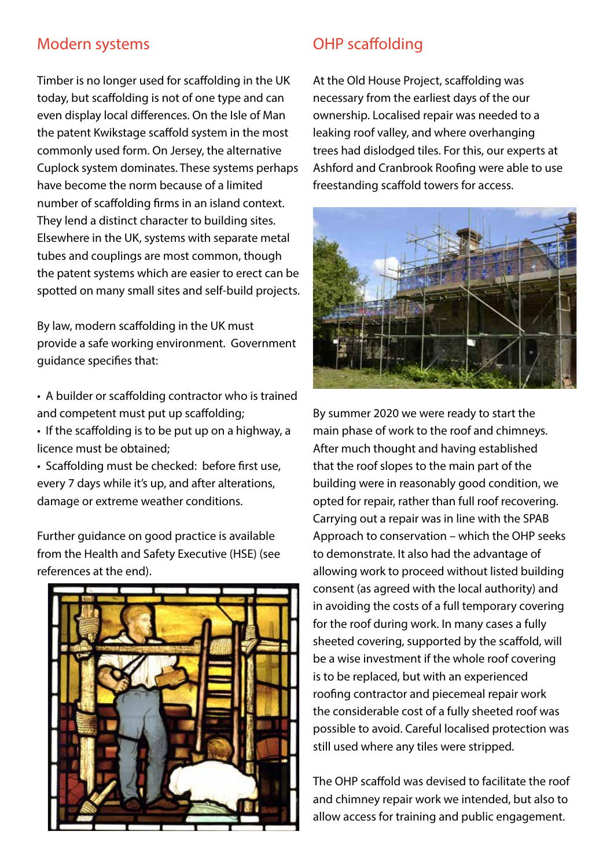## Modern systems

Timber is no longer used for scaffolding in the UK today, but scaffolding is not of one type and can even display local differences. On the Isle of Man the patent Kwikstage scaffold system in the most commonly used form. On Jersey, the alternative Cuplock system dominates. These systems perhaps have become the norm because of a limited number of scaffolding firms in an island context. They lend a distinct character to building sites. Elsewhere in the UK, systems with separate metal tubes and couplings are most common, though the patent systems which are easier to erect can be spotted on many small sites and self-build projects.

By law, modern scaffolding in the UK must provide a safe working environment. Government guidance specifies that:

• A builder or scaffolding contractor who is trained and competent must put up scaffolding;

• If the scaffolding is to be put up on a highway, a licence must be obtained;

• Scaffolding must be checked: before first use, every 7 days while it's up, and after alterations, damage or extreme weather conditions.

Further guidance on good practice is available from the Health and Safety Executive (HSE) (see references at the end).



## OHP scaffolding

At the Old House Project, scaffolding was necessary from the earliest days of the our ownership. Localised repair was needed to a leaking roof valley, and where overhanging trees had dislodged tiles. For this, our experts at Ashford and Cranbrook Roofing were able to use freestanding scaffold towers for access.



By summer 2020 we were ready to start the main phase of work to the roof and chimneys. After much thought and having established that the roof slopes to the main part of the building were in reasonably good condition, we opted for repair, rather than full roof recovering. Carrying out a repair was in line with the SPAB Approach to conservation – which the OHP seeks to demonstrate. It also had the advantage of allowing work to proceed without listed building consent (as agreed with the local authority) and in avoiding the costs of a full temporary covering for the roof during work. In many cases a fully sheeted covering, supported by the scaffold, will be a wise investment if the whole roof covering is to be replaced, but with an experienced roofing contractor and piecemeal repair work the considerable cost of a fully sheeted roof was possible to avoid. Careful localised protection was still used where any tiles were stripped.

The OHP scaffold was devised to facilitate the roof and chimney repair work we intended, but also to allow access for training and public engagement.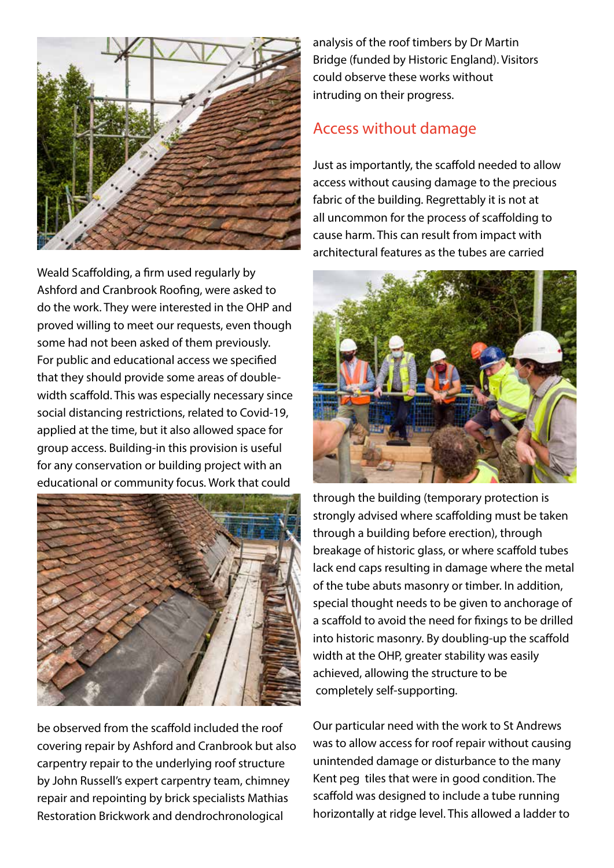

Weald Scaffolding, a firm used regularly by Ashford and Cranbrook Roofing, were asked to do the work. They were interested in the OHP and proved willing to meet our requests, even though some had not been asked of them previously. For public and educational access we specified that they should provide some areas of doublewidth scaffold. This was especially necessary since social distancing restrictions, related to Covid-19, applied at the time, but it also allowed space for group access. Building-in this provision is useful for any conservation or building project with an educational or community focus. Work that could



be observed from the scaffold included the roof covering repair by Ashford and Cranbrook but also carpentry repair to the underlying roof structure by John Russell's expert carpentry team, chimney repair and repointing by brick specialists Mathias Restoration Brickwork and dendrochronological

analysis of the roof timbers by Dr Martin Bridge (funded by Historic England). Visitors could observe these works without intruding on their progress.

## Access without damage

Just as importantly, the scaffold needed to allow access without causing damage to the precious fabric of the building. Regrettably it is not at all uncommon for the process of scaffolding to cause harm. This can result from impact with architectural features as the tubes are carried



through the building (temporary protection is strongly advised where scaffolding must be taken through a building before erection), through breakage of historic glass, or where scaffold tubes lack end caps resulting in damage where the metal of the tube abuts masonry or timber. In addition, special thought needs to be given to anchorage of a scaffold to avoid the need for fixings to be drilled into historic masonry. By doubling-up the scaffold width at the OHP, greater stability was easily achieved, allowing the structure to be completely self-supporting.

Our particular need with the work to St Andrews was to allow access for roof repair without causing unintended damage or disturbance to the many Kent peg tiles that were in good condition. The scaffold was designed to include a tube running horizontally at ridge level. This allowed a ladder to